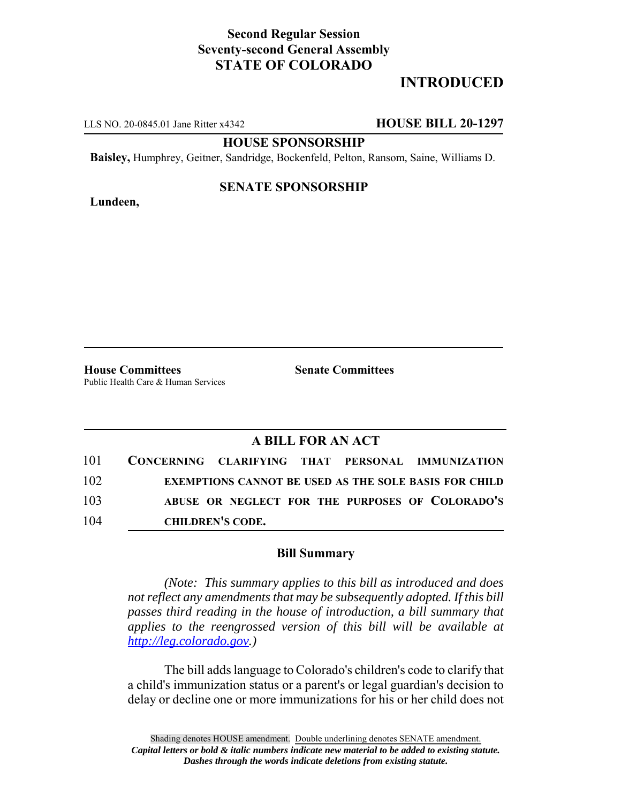## **Second Regular Session Seventy-second General Assembly STATE OF COLORADO**

# **INTRODUCED**

LLS NO. 20-0845.01 Jane Ritter x4342 **HOUSE BILL 20-1297**

**HOUSE SPONSORSHIP**

**Baisley,** Humphrey, Geitner, Sandridge, Bockenfeld, Pelton, Ransom, Saine, Williams D.

#### **Lundeen,**

### **SENATE SPONSORSHIP**

**House Committees Senate Committees** Public Health Care & Human Services

### **A BILL FOR AN ACT**

| 101 |                         |  | CONCERNING CLARIFYING THAT PERSONAL IMMUNIZATION             |
|-----|-------------------------|--|--------------------------------------------------------------|
| 102 |                         |  | <b>EXEMPTIONS CANNOT BE USED AS THE SOLE BASIS FOR CHILD</b> |
| 103 |                         |  | ABUSE OR NEGLECT FOR THE PURPOSES OF COLORADO'S              |
| 104 | <b>CHILDREN'S CODE.</b> |  |                                                              |

#### **Bill Summary**

*(Note: This summary applies to this bill as introduced and does not reflect any amendments that may be subsequently adopted. If this bill passes third reading in the house of introduction, a bill summary that applies to the reengrossed version of this bill will be available at http://leg.colorado.gov.)*

The bill adds language to Colorado's children's code to clarify that a child's immunization status or a parent's or legal guardian's decision to delay or decline one or more immunizations for his or her child does not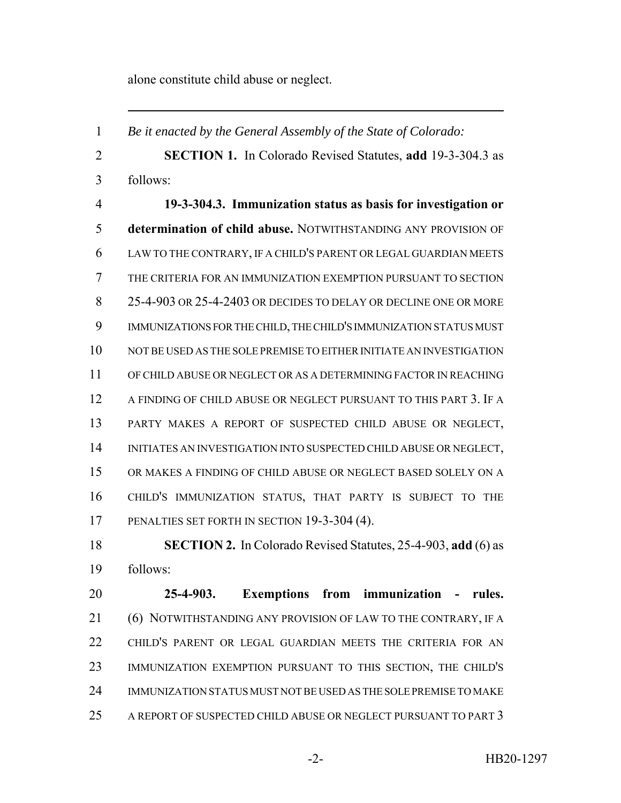alone constitute child abuse or neglect.

 *Be it enacted by the General Assembly of the State of Colorado:* **SECTION 1.** In Colorado Revised Statutes, **add** 19-3-304.3 as follows: **19-3-304.3. Immunization status as basis for investigation or determination of child abuse.** NOTWITHSTANDING ANY PROVISION OF LAW TO THE CONTRARY, IF A CHILD'S PARENT OR LEGAL GUARDIAN MEETS THE CRITERIA FOR AN IMMUNIZATION EXEMPTION PURSUANT TO SECTION 8 25-4-903 OR 25-4-2403 OR DECIDES TO DELAY OR DECLINE ONE OR MORE IMMUNIZATIONS FOR THE CHILD, THE CHILD'S IMMUNIZATION STATUS MUST NOT BE USED AS THE SOLE PREMISE TO EITHER INITIATE AN INVESTIGATION OF CHILD ABUSE OR NEGLECT OR AS A DETERMINING FACTOR IN REACHING A FINDING OF CHILD ABUSE OR NEGLECT PURSUANT TO THIS PART 3. IF A PARTY MAKES A REPORT OF SUSPECTED CHILD ABUSE OR NEGLECT, 14 INITIATES AN INVESTIGATION INTO SUSPECTED CHILD ABUSE OR NEGLECT, OR MAKES A FINDING OF CHILD ABUSE OR NEGLECT BASED SOLELY ON A CHILD'S IMMUNIZATION STATUS, THAT PARTY IS SUBJECT TO THE PENALTIES SET FORTH IN SECTION 19-3-304 (4).

 **SECTION 2.** In Colorado Revised Statutes, 25-4-903, **add** (6) as follows:

 **25-4-903. Exemptions from immunization - rules.** 21 (6) NOTWITHSTANDING ANY PROVISION OF LAW TO THE CONTRARY, IF A CHILD'S PARENT OR LEGAL GUARDIAN MEETS THE CRITERIA FOR AN IMMUNIZATION EXEMPTION PURSUANT TO THIS SECTION, THE CHILD'S IMMUNIZATION STATUS MUST NOT BE USED AS THE SOLE PREMISE TO MAKE A REPORT OF SUSPECTED CHILD ABUSE OR NEGLECT PURSUANT TO PART 3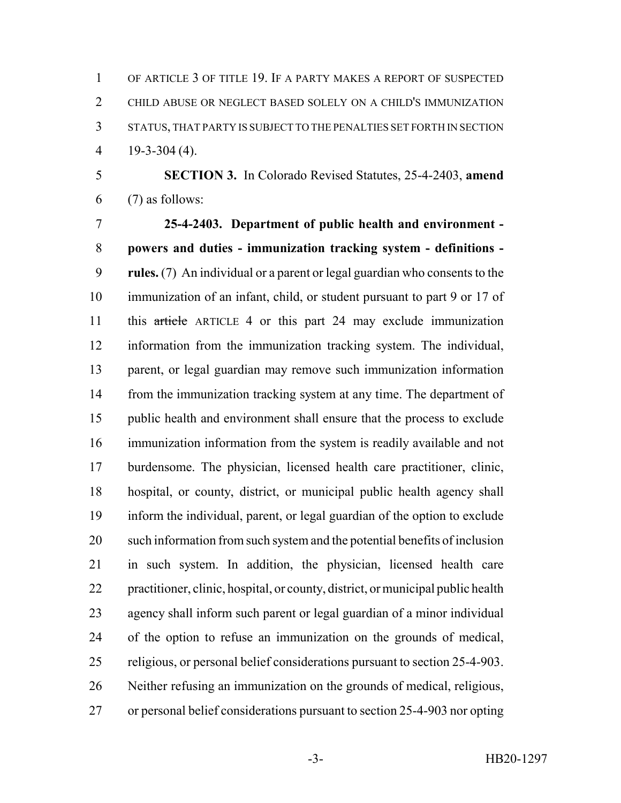OF ARTICLE 3 OF TITLE 19. IF A PARTY MAKES A REPORT OF SUSPECTED CHILD ABUSE OR NEGLECT BASED SOLELY ON A CHILD'S IMMUNIZATION STATUS, THAT PARTY IS SUBJECT TO THE PENALTIES SET FORTH IN SECTION 19-3-304 (4).

 **SECTION 3.** In Colorado Revised Statutes, 25-4-2403, **amend** (7) as follows:

 **25-4-2403. Department of public health and environment - powers and duties - immunization tracking system - definitions - rules.** (7) An individual or a parent or legal guardian who consents to the immunization of an infant, child, or student pursuant to part 9 or 17 of this article ARTICLE 4 or this part 24 may exclude immunization information from the immunization tracking system. The individual, parent, or legal guardian may remove such immunization information from the immunization tracking system at any time. The department of public health and environment shall ensure that the process to exclude immunization information from the system is readily available and not burdensome. The physician, licensed health care practitioner, clinic, hospital, or county, district, or municipal public health agency shall inform the individual, parent, or legal guardian of the option to exclude such information from such system and the potential benefits of inclusion in such system. In addition, the physician, licensed health care practitioner, clinic, hospital, or county, district, or municipal public health agency shall inform such parent or legal guardian of a minor individual of the option to refuse an immunization on the grounds of medical, religious, or personal belief considerations pursuant to section 25-4-903. Neither refusing an immunization on the grounds of medical, religious, or personal belief considerations pursuant to section 25-4-903 nor opting